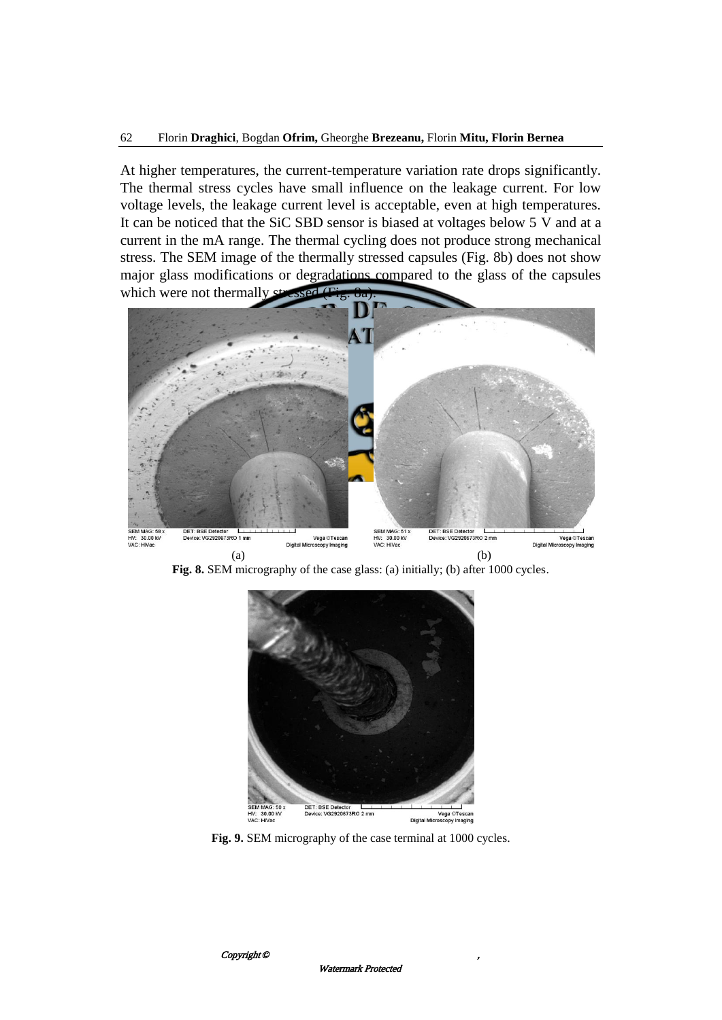## 62 Florin **Draghici**, Bogdan **Ofrim,** Gheorghe **Brezeanu,** Florin **Mitu, Florin Bernea**

At higher temperatures, the current-temperature variation rate drops significantly. The thermal stress cycles have small influence on the leakage current. For low voltage levels, the leakage current level is acceptable, even at high temperatures. It can be noticed that the SiC SBD sensor is biased at voltages below 5 V and at a current in the mA range. The thermal cycling does not produce strong mechanical stress. The SEM image of the thermally stressed capsules (Fig. 8b) does not show



**Fig. 9.** SEM micrography of the case terminal at 1000 cycles.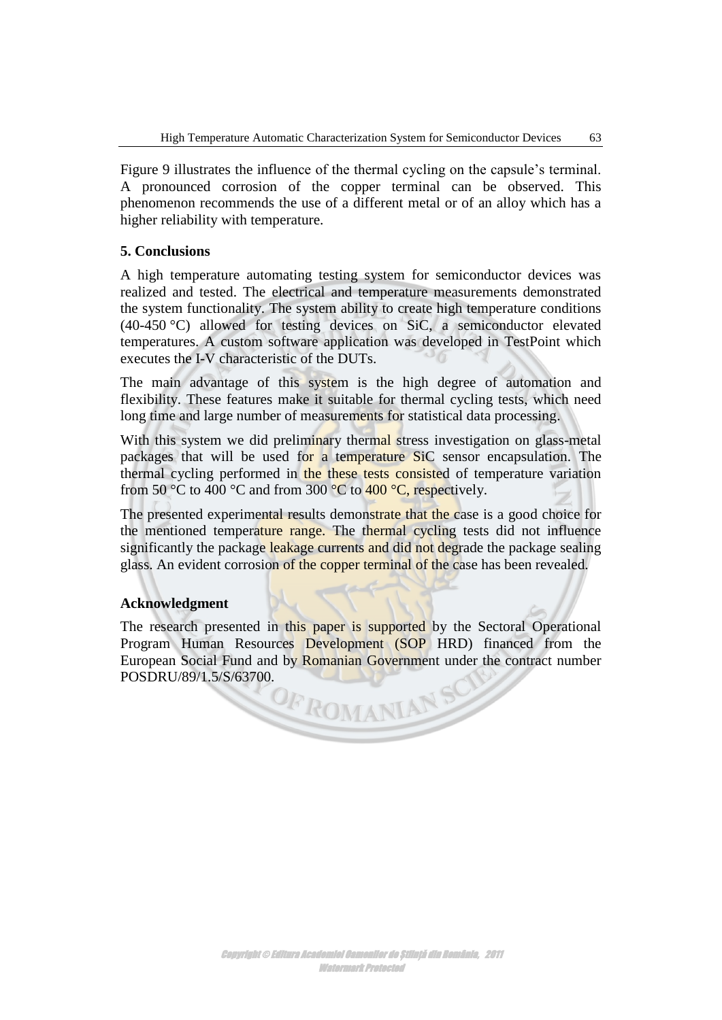Figure 9 illustrates the influence of the thermal cycling on the capsule's terminal. A pronounced corrosion of the copper terminal can be observed. This phenomenon recommends the use of a different metal or of an alloy which has a higher reliability with temperature.

## **5. Conclusions**

A high temperature automating testing system for semiconductor devices was realized and tested. The electrical and temperature measurements demonstrated the system functionality. The system ability to create high temperature conditions (40-450 °C) allowed for testing devices on SiC, a semiconductor elevated temperatures. A custom software application was developed in TestPoint which executes the I-V characteristic of the DUTs.

The main advantage of this system is the high degree of automation and flexibility. These features make it suitable for thermal cycling tests, which need long time and large number of measurements for statistical data processing.

With this system we did preliminary thermal stress investigation on glass-metal packages that will be used for a temperature SiC sensor encapsulation. The thermal cycling performed in the these tests consisted of temperature variation from 50 °C to 400 °C and from 300 °C to 400 °C, respectively.

The presented experimental results demonstrate that the case is a good choice for the mentioned temperature range. The thermal cycling tests did not influence significantly the package leakage currents and did not degrade the package sealing glass. An evident corrosion of the copper terminal of the case has been revealed.

## **Acknowledgment**

The research presented in this paper is supported by the Sectoral Operational Program Human Resources Development (SOP HRD) financed from the European Social Fund and by Romanian Government under the contract number POSDRU/89/1.5/S/63700.

OFROMANIANS